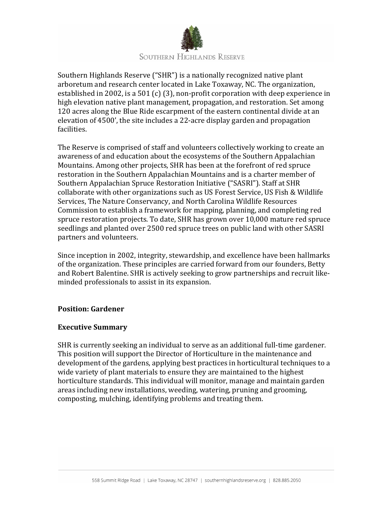

Southern Highlands Reserve ("SHR") is a nationally recognized native plant arboretum and research center located in Lake Toxaway, NC. The organization, established in 2002, is a 501 (c) (3), non-profit corporation with deep experience in high elevation native plant management, propagation, and restoration. Set among 120 acres along the Blue Ride escarpment of the eastern continental divide at an elevation of 4500', the site includes a 22-acre display garden and propagation facilities.

The Reserve is comprised of staff and volunteers collectively working to create an awareness of and education about the ecosystems of the Southern Appalachian Mountains. Among other projects, SHR has been at the forefront of red spruce restoration in the Southern Appalachian Mountains and is a charter member of Southern Appalachian Spruce Restoration Initiative ("SASRI"). Staff at SHR collaborate with other organizations such as US Forest Service, US Fish & Wildlife Services, The Nature Conservancy, and North Carolina Wildlife Resources Commission to establish a framework for mapping, planning, and completing red spruce restoration projects. To date, SHR has grown over 10,000 mature red spruce seedlings and planted over 2500 red spruce trees on public land with other SASRI partners and volunteers.

Since inception in 2002, integrity, stewardship, and excellence have been hallmarks of the organization. These principles are carried forward from our founders, Betty and Robert Balentine. SHR is actively seeking to grow partnerships and recruit likeminded professionals to assist in its expansion.

# **Position: Gardener**

# **Executive Summary**

SHR is currently seeking an individual to serve as an additional full-time gardener. This position will support the Director of Horticulture in the maintenance and development of the gardens, applying best practices in horticultural techniques to a wide variety of plant materials to ensure they are maintained to the highest horticulture standards. This individual will monitor, manage and maintain garden areas including new installations, weeding, watering, pruning and grooming, composting, mulching, identifying problems and treating them.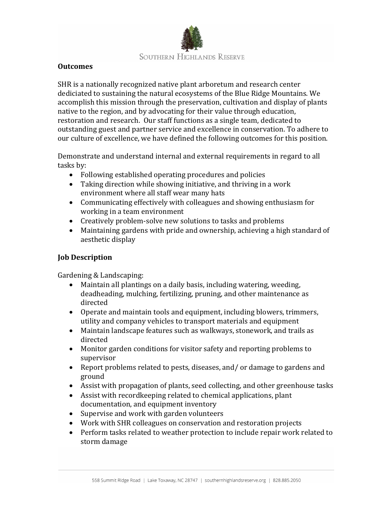

## **Outcomes**

SHR is a nationally recognized native plant arboretum and research center dediciated to sustaining the natural ecosystems of the Blue Ridge Mountains. We accomplish this mission through the preservation, cultivation and display of plants native to the region, and by advocating for their value through education, restoration and research. Our staff functions as a single team, dedicated to outstanding guest and partner service and excellence in conservation. To adhere to our culture of excellence, we have defined the following outcomes for this position.

Demonstrate and understand internal and external requirements in regard to all tasks by:

- Following established operating procedures and policies
- Taking direction while showing initiative, and thriving in a work environment where all staff wear many hats
- Communicating effectively with colleagues and showing enthusiasm for working in a team environment
- Creatively problem-solve new solutions to tasks and problems
- Maintaining gardens with pride and ownership, achieving a high standard of aesthetic display

# **Job Description**

Gardening & Landscaping:

- Maintain all plantings on a daily basis, including watering, weeding, deadheading, mulching, fertilizing, pruning, and other maintenance as directed
- Operate and maintain tools and equipment, including blowers, trimmers, utility and company vehicles to transport materials and equipment
- Maintain landscape features such as walkways, stonework, and trails as directed
- Monitor garden conditions for visitor safety and reporting problems to supervisor
- Report problems related to pests, diseases, and/ or damage to gardens and ground
- Assist with propagation of plants, seed collecting, and other greenhouse tasks
- Assist with record keeping related to chemical applications, plant documentation, and equipment inventory
- Supervise and work with garden volunteers
- Work with SHR colleagues on conservation and restoration projects
- Perform tasks related to weather protection to include repair work related to storm damage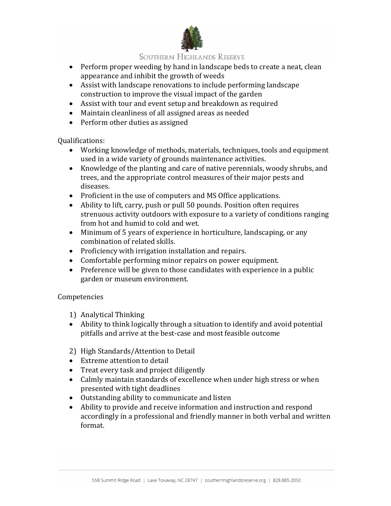

## **SOUTHERN HIGHLANDS RESERVE**

- Perform proper weeding by hand in landscape beds to create a neat, clean appearance and inhibit the growth of weeds
- Assist with landscape renovations to include performing landscape construction to improve the visual impact of the garden
- Assist with tour and event setup and breakdown as required
- Maintain cleanliness of all assigned areas as needed
- Perform other duties as assigned

Qualifications: 

- Working knowledge of methods, materials, techniques, tools and equipment used in a wide variety of grounds maintenance activities.
- Knowledge of the planting and care of native perennials, woody shrubs, and trees, and the appropriate control measures of their major pests and diseases.
- Proficient in the use of computers and MS Office applications.
- Ability to lift, carry, push or pull 50 pounds. Position often requires strenuous activity outdoors with exposure to a variety of conditions ranging from hot and humid to cold and wet.
- Minimum of 5 years of experience in horticulture, landscaping, or any combination of related skills.
- Proficiency with irrigation installation and repairs.
- Comfortable performing minor repairs on power equipment.
- Preference will be given to those candidates with experience in a public garden or museum environment.

Competencies

- 1) Analytical Thinking
- Ability to think logically through a situation to identify and avoid potential pitfalls and arrive at the best-case and most feasible outcome
- 2) High Standards/Attention to Detail
- Extreme attention to detail
- Treat every task and project diligently
- Calmly maintain standards of excellence when under high stress or when presented with tight deadlines
- Outstanding ability to communicate and listen
- Ability to provide and receive information and instruction and respond accordingly in a professional and friendly manner in both verbal and written format.